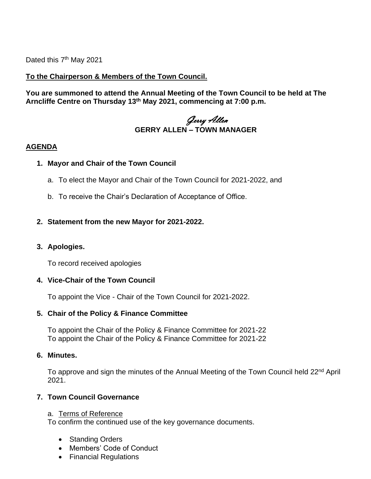Dated this 7<sup>th</sup> May 2021

# **To the Chairperson & Members of the Town Council.**

**You are summoned to attend the Annual Meeting of the Town Council to be held at The Arncliffe Centre on Thursday 13th May 2021, commencing at 7:00 p.m.** 

# Gerry Allen **GERRY ALLEN – TOWN MANAGER**

#### **AGENDA**

#### **1. Mayor and Chair of the Town Council**

- a. To elect the Mayor and Chair of the Town Council for 2021-2022, and
- b. To receive the Chair's Declaration of Acceptance of Office.

## **2. Statement from the new Mayor for 2021-2022.**

## **3. Apologies.**

To record received apologies

## **4. Vice-Chair of the Town Council**

To appoint the Vice - Chair of the Town Council for 2021-2022.

#### **5. Chair of the Policy & Finance Committee**

To appoint the Chair of the Policy & Finance Committee for 2021-22 To appoint the Chair of the Policy & Finance Committee for 2021-22

#### **6. Minutes.**

To approve and sign the minutes of the Annual Meeting of the Town Council held 22<sup>nd</sup> April 2021.

## **7. Town Council Governance**

#### a. Terms of Reference

To confirm the continued use of the key governance documents.

- Standing Orders
- Members' Code of Conduct
- Financial Regulations